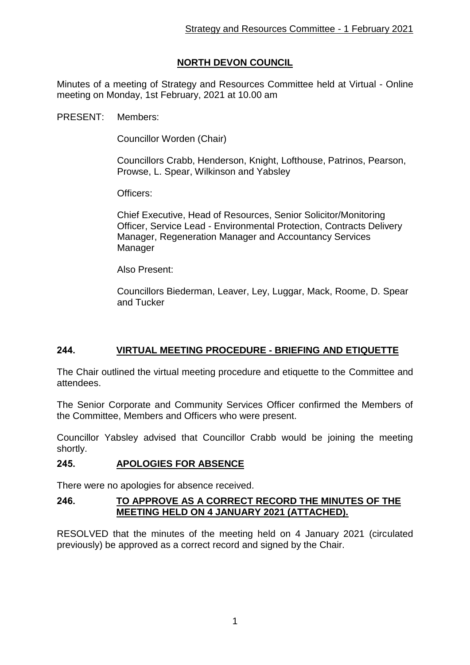# **NORTH DEVON COUNCIL**

Minutes of a meeting of Strategy and Resources Committee held at Virtual - Online meeting on Monday, 1st February, 2021 at 10.00 am

PRESENT: Members:

Councillor Worden (Chair)

Councillors Crabb, Henderson, Knight, Lofthouse, Patrinos, Pearson, Prowse, L. Spear, Wilkinson and Yabsley

Officers:

Chief Executive, Head of Resources, Senior Solicitor/Monitoring Officer, Service Lead - Environmental Protection, Contracts Delivery Manager, Regeneration Manager and Accountancy Services Manager

Also Present:

Councillors Biederman, Leaver, Ley, Luggar, Mack, Roome, D. Spear and Tucker

## **244. VIRTUAL MEETING PROCEDURE - BRIEFING AND ETIQUETTE**

The Chair outlined the virtual meeting procedure and etiquette to the Committee and attendees.

The Senior Corporate and Community Services Officer confirmed the Members of the Committee, Members and Officers who were present.

Councillor Yabsley advised that Councillor Crabb would be joining the meeting shortly.

## **245. APOLOGIES FOR ABSENCE**

There were no apologies for absence received.

### **246. TO APPROVE AS A CORRECT RECORD THE MINUTES OF THE MEETING HELD ON 4 JANUARY 2021 (ATTACHED).**

RESOLVED that the minutes of the meeting held on 4 January 2021 (circulated previously) be approved as a correct record and signed by the Chair.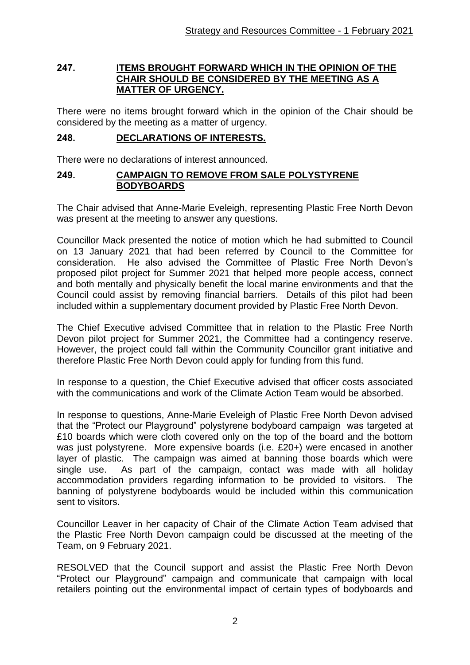#### **247. ITEMS BROUGHT FORWARD WHICH IN THE OPINION OF THE CHAIR SHOULD BE CONSIDERED BY THE MEETING AS A MATTER OF URGENCY.**

There were no items brought forward which in the opinion of the Chair should be considered by the meeting as a matter of urgency.

### **248. DECLARATIONS OF INTERESTS.**

There were no declarations of interest announced.

### **249. CAMPAIGN TO REMOVE FROM SALE POLYSTYRENE BODYBOARDS**

The Chair advised that Anne-Marie Eveleigh, representing Plastic Free North Devon was present at the meeting to answer any questions.

Councillor Mack presented the notice of motion which he had submitted to Council on 13 January 2021 that had been referred by Council to the Committee for consideration. He also advised the Committee of Plastic Free North Devon's proposed pilot project for Summer 2021 that helped more people access, connect and both mentally and physically benefit the local marine environments and that the Council could assist by removing financial barriers. Details of this pilot had been included within a supplementary document provided by Plastic Free North Devon.

The Chief Executive advised Committee that in relation to the Plastic Free North Devon pilot project for Summer 2021, the Committee had a contingency reserve. However, the project could fall within the Community Councillor grant initiative and therefore Plastic Free North Devon could apply for funding from this fund.

In response to a question, the Chief Executive advised that officer costs associated with the communications and work of the Climate Action Team would be absorbed.

In response to questions, Anne-Marie Eveleigh of Plastic Free North Devon advised that the "Protect our Playground" polystyrene bodyboard campaign was targeted at £10 boards which were cloth covered only on the top of the board and the bottom was just polystyrene. More expensive boards (i.e. £20+) were encased in another layer of plastic. The campaign was aimed at banning those boards which were single use. As part of the campaign, contact was made with all holiday accommodation providers regarding information to be provided to visitors. The banning of polystyrene bodyboards would be included within this communication sent to visitors.

Councillor Leaver in her capacity of Chair of the Climate Action Team advised that the Plastic Free North Devon campaign could be discussed at the meeting of the Team, on 9 February 2021.

RESOLVED that the Council support and assist the Plastic Free North Devon "Protect our Playground" campaign and communicate that campaign with local retailers pointing out the environmental impact of certain types of bodyboards and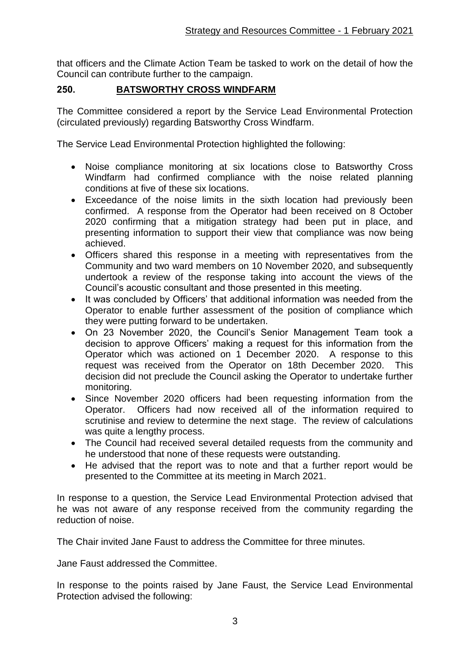that officers and the Climate Action Team be tasked to work on the detail of how the Council can contribute further to the campaign.

## **250. BATSWORTHY CROSS WINDFARM**

The Committee considered a report by the Service Lead Environmental Protection (circulated previously) regarding Batsworthy Cross Windfarm.

The Service Lead Environmental Protection highlighted the following:

- Noise compliance monitoring at six locations close to Batsworthy Cross Windfarm had confirmed compliance with the noise related planning conditions at five of these six locations.
- Exceedance of the noise limits in the sixth location had previously been confirmed. A response from the Operator had been received on 8 October 2020 confirming that a mitigation strategy had been put in place, and presenting information to support their view that compliance was now being achieved.
- Officers shared this response in a meeting with representatives from the Community and two ward members on 10 November 2020, and subsequently undertook a review of the response taking into account the views of the Council's acoustic consultant and those presented in this meeting.
- It was concluded by Officers' that additional information was needed from the Operator to enable further assessment of the position of compliance which they were putting forward to be undertaken.
- On 23 November 2020, the Council's Senior Management Team took a decision to approve Officers' making a request for this information from the Operator which was actioned on 1 December 2020. A response to this request was received from the Operator on 18th December 2020. This decision did not preclude the Council asking the Operator to undertake further monitoring.
- Since November 2020 officers had been requesting information from the Operator. Officers had now received all of the information required to scrutinise and review to determine the next stage. The review of calculations was quite a lengthy process.
- The Council had received several detailed requests from the community and he understood that none of these requests were outstanding.
- He advised that the report was to note and that a further report would be presented to the Committee at its meeting in March 2021.

In response to a question, the Service Lead Environmental Protection advised that he was not aware of any response received from the community regarding the reduction of noise.

The Chair invited Jane Faust to address the Committee for three minutes.

Jane Faust addressed the Committee.

In response to the points raised by Jane Faust, the Service Lead Environmental Protection advised the following: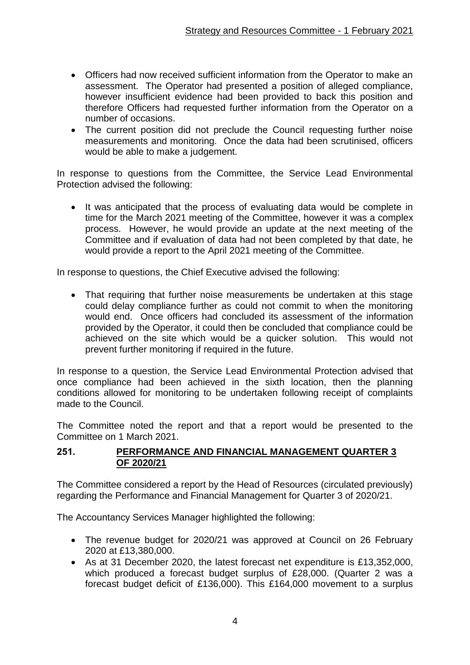- Officers had now received sufficient information from the Operator to make an assessment. The Operator had presented a position of alleged compliance, however insufficient evidence had been provided to back this position and therefore Officers had requested further information from the Operator on a number of occasions.
- The current position did not preclude the Council requesting further noise measurements and monitoring. Once the data had been scrutinised, officers would be able to make a judgement.

In response to questions from the Committee, the Service Lead Environmental Protection advised the following:

• It was anticipated that the process of evaluating data would be complete in time for the March 2021 meeting of the Committee, however it was a complex process. However, he would provide an update at the next meeting of the Committee and if evaluation of data had not been completed by that date, he would provide a report to the April 2021 meeting of the Committee.

In response to questions, the Chief Executive advised the following:

• That requiring that further noise measurements be undertaken at this stage could delay compliance further as could not commit to when the monitoring would end. Once officers had concluded its assessment of the information provided by the Operator, it could then be concluded that compliance could be achieved on the site which would be a quicker solution. This would not prevent further monitoring if required in the future.

In response to a question, the Service Lead Environmental Protection advised that once compliance had been achieved in the sixth location, then the planning conditions allowed for monitoring to be undertaken following receipt of complaints made to the Council.

The Committee noted the report and that a report would be presented to the Committee on 1 March 2021.

### **251. PERFORMANCE AND FINANCIAL MANAGEMENT QUARTER 3 OF 2020/21**

The Committee considered a report by the Head of Resources (circulated previously) regarding the Performance and Financial Management for Quarter 3 of 2020/21.

The Accountancy Services Manager highlighted the following:

- The revenue budget for 2020/21 was approved at Council on 26 February 2020 at £13,380,000.
- As at 31 December 2020, the latest forecast net expenditure is £13,352,000, which produced a forecast budget surplus of £28,000. (Quarter 2 was a forecast budget deficit of £136,000). This £164,000 movement to a surplus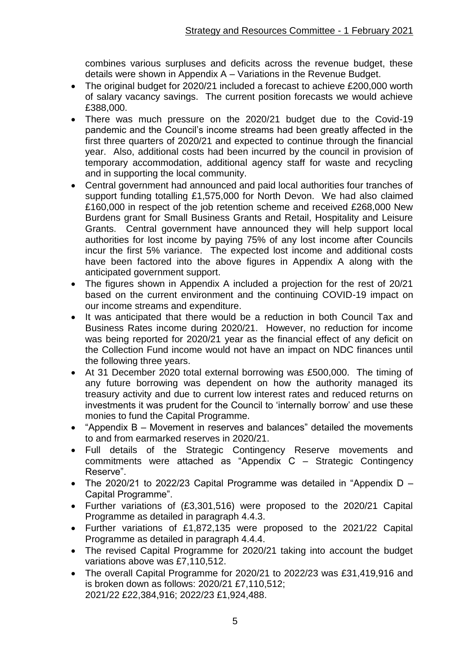combines various surpluses and deficits across the revenue budget, these details were shown in Appendix A – Variations in the Revenue Budget.

- The original budget for 2020/21 included a forecast to achieve £200,000 worth of salary vacancy savings. The current position forecasts we would achieve £388,000.
- There was much pressure on the 2020/21 budget due to the Covid-19 pandemic and the Council's income streams had been greatly affected in the first three quarters of 2020/21 and expected to continue through the financial year. Also, additional costs had been incurred by the council in provision of temporary accommodation, additional agency staff for waste and recycling and in supporting the local community.
- Central government had announced and paid local authorities four tranches of support funding totalling £1,575,000 for North Devon. We had also claimed £160,000 in respect of the job retention scheme and received £268,000 New Burdens grant for Small Business Grants and Retail, Hospitality and Leisure Grants. Central government have announced they will help support local authorities for lost income by paying 75% of any lost income after Councils incur the first 5% variance. The expected lost income and additional costs have been factored into the above figures in Appendix A along with the anticipated government support.
- The figures shown in Appendix A included a projection for the rest of 20/21 based on the current environment and the continuing COVID-19 impact on our income streams and expenditure.
- It was anticipated that there would be a reduction in both Council Tax and Business Rates income during 2020/21. However, no reduction for income was being reported for 2020/21 year as the financial effect of any deficit on the Collection Fund income would not have an impact on NDC finances until the following three years.
- At 31 December 2020 total external borrowing was £500,000. The timing of any future borrowing was dependent on how the authority managed its treasury activity and due to current low interest rates and reduced returns on investments it was prudent for the Council to 'internally borrow' and use these monies to fund the Capital Programme.
- "Appendix B Movement in reserves and balances" detailed the movements to and from earmarked reserves in 2020/21.
- Full details of the Strategic Contingency Reserve movements and commitments were attached as "Appendix C – Strategic Contingency Reserve".
- The 2020/21 to 2022/23 Capital Programme was detailed in "Appendix D Capital Programme".
- Further variations of (£3,301,516) were proposed to the 2020/21 Capital Programme as detailed in paragraph 4.4.3.
- Further variations of £1,872,135 were proposed to the 2021/22 Capital Programme as detailed in paragraph 4.4.4.
- The revised Capital Programme for 2020/21 taking into account the budget variations above was £7,110,512.
- The overall Capital Programme for 2020/21 to 2022/23 was £31,419,916 and is broken down as follows: 2020/21 £7,110,512; 2021/22 £22,384,916; 2022/23 £1,924,488.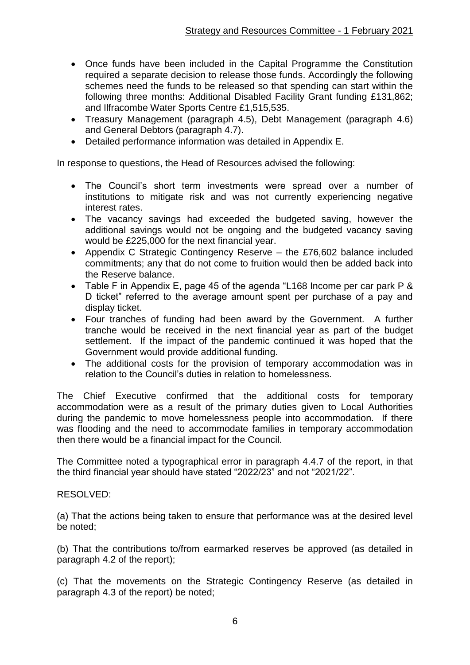- Once funds have been included in the Capital Programme the Constitution required a separate decision to release those funds. Accordingly the following schemes need the funds to be released so that spending can start within the following three months: Additional Disabled Facility Grant funding £131,862; and Ilfracombe Water Sports Centre £1,515,535.
- Treasury Management (paragraph 4.5), Debt Management (paragraph 4.6) and General Debtors (paragraph 4.7).
- Detailed performance information was detailed in Appendix E.

In response to questions, the Head of Resources advised the following:

- The Council's short term investments were spread over a number of institutions to mitigate risk and was not currently experiencing negative interest rates.
- The vacancy savings had exceeded the budgeted saving, however the additional savings would not be ongoing and the budgeted vacancy saving would be £225,000 for the next financial year.
- Appendix C Strategic Contingency Reserve the £76,602 balance included commitments; any that do not come to fruition would then be added back into the Reserve balance.
- Table F in Appendix E, page 45 of the agenda "L168 Income per car park P & D ticket" referred to the average amount spent per purchase of a pay and display ticket.
- Four tranches of funding had been award by the Government. A further tranche would be received in the next financial year as part of the budget settlement. If the impact of the pandemic continued it was hoped that the Government would provide additional funding.
- The additional costs for the provision of temporary accommodation was in relation to the Council's duties in relation to homelessness.

The Chief Executive confirmed that the additional costs for temporary accommodation were as a result of the primary duties given to Local Authorities during the pandemic to move homelessness people into accommodation. If there was flooding and the need to accommodate families in temporary accommodation then there would be a financial impact for the Council.

The Committee noted a typographical error in paragraph 4.4.7 of the report, in that the third financial year should have stated "2022/23" and not "2021/22".

#### RESOLVED:

(a) That the actions being taken to ensure that performance was at the desired level be noted;

(b) That the contributions to/from earmarked reserves be approved (as detailed in paragraph 4.2 of the report);

(c) That the movements on the Strategic Contingency Reserve (as detailed in paragraph 4.3 of the report) be noted;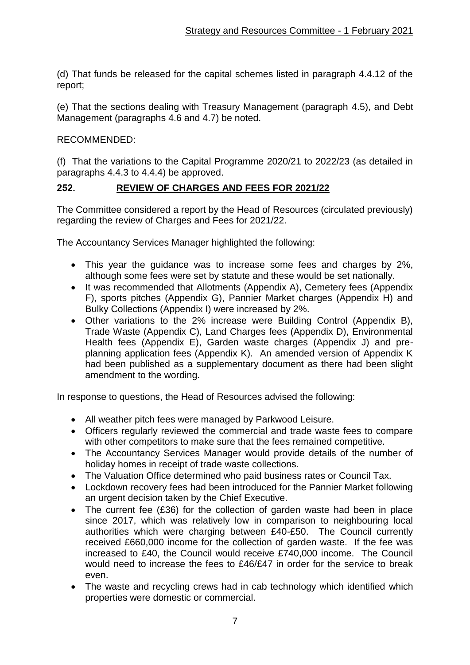(d) That funds be released for the capital schemes listed in paragraph 4.4.12 of the report;

(e) That the sections dealing with Treasury Management (paragraph 4.5), and Debt Management (paragraphs 4.6 and 4.7) be noted.

## RECOMMENDED:

(f) That the variations to the Capital Programme 2020/21 to 2022/23 (as detailed in paragraphs 4.4.3 to 4.4.4) be approved.

## **252. REVIEW OF CHARGES AND FEES FOR 2021/22**

The Committee considered a report by the Head of Resources (circulated previously) regarding the review of Charges and Fees for 2021/22.

The Accountancy Services Manager highlighted the following:

- This year the guidance was to increase some fees and charges by 2%, although some fees were set by statute and these would be set nationally.
- It was recommended that Allotments (Appendix A), Cemetery fees (Appendix F), sports pitches (Appendix G), Pannier Market charges (Appendix H) and Bulky Collections (Appendix I) were increased by 2%.
- Other variations to the 2% increase were Building Control (Appendix B), Trade Waste (Appendix C), Land Charges fees (Appendix D), Environmental Health fees (Appendix E), Garden waste charges (Appendix J) and preplanning application fees (Appendix K). An amended version of Appendix K had been published as a supplementary document as there had been slight amendment to the wording.

In response to questions, the Head of Resources advised the following:

- All weather pitch fees were managed by Parkwood Leisure.
- Officers regularly reviewed the commercial and trade waste fees to compare with other competitors to make sure that the fees remained competitive.
- The Accountancy Services Manager would provide details of the number of holiday homes in receipt of trade waste collections.
- The Valuation Office determined who paid business rates or Council Tax.
- Lockdown recovery fees had been introduced for the Pannier Market following an urgent decision taken by the Chief Executive.
- The current fee (£36) for the collection of garden waste had been in place since 2017, which was relatively low in comparison to neighbouring local authorities which were charging between £40-£50. The Council currently received £660,000 income for the collection of garden waste. If the fee was increased to £40, the Council would receive £740,000 income. The Council would need to increase the fees to £46/£47 in order for the service to break even.
- The waste and recycling crews had in cab technology which identified which properties were domestic or commercial.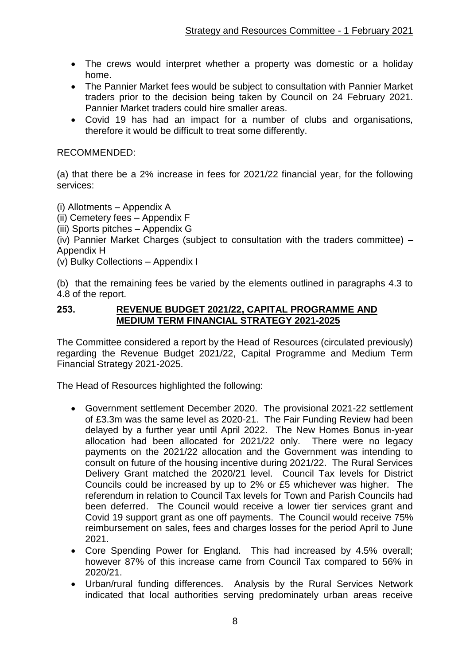- The crews would interpret whether a property was domestic or a holiday home.
- The Pannier Market fees would be subject to consultation with Pannier Market traders prior to the decision being taken by Council on 24 February 2021. Pannier Market traders could hire smaller areas.
- Covid 19 has had an impact for a number of clubs and organisations, therefore it would be difficult to treat some differently.

### RECOMMENDED:

(a) that there be a 2% increase in fees for 2021/22 financial year, for the following services:

(i) Allotments – Appendix A

(ii) Cemetery fees – Appendix F

(iii) Sports pitches – Appendix G

(iv) Pannier Market Charges (subject to consultation with the traders committee) – Appendix H

(v) Bulky Collections – Appendix I

(b) that the remaining fees be varied by the elements outlined in paragraphs 4.3 to 4.8 of the report.

#### **253. REVENUE BUDGET 2021/22, CAPITAL PROGRAMME AND MEDIUM TERM FINANCIAL STRATEGY 2021-2025**

The Committee considered a report by the Head of Resources (circulated previously) regarding the Revenue Budget 2021/22, Capital Programme and Medium Term Financial Strategy 2021-2025.

The Head of Resources highlighted the following:

- Government settlement December 2020. The provisional 2021-22 settlement of £3.3m was the same level as 2020-21. The Fair Funding Review had been delayed by a further year until April 2022. The New Homes Bonus in-year allocation had been allocated for 2021/22 only. There were no legacy payments on the 2021/22 allocation and the Government was intending to consult on future of the housing incentive during 2021/22. The Rural Services Delivery Grant matched the 2020/21 level. Council Tax levels for District Councils could be increased by up to 2% or £5 whichever was higher. The referendum in relation to Council Tax levels for Town and Parish Councils had been deferred. The Council would receive a lower tier services grant and Covid 19 support grant as one off payments. The Council would receive 75% reimbursement on sales, fees and charges losses for the period April to June 2021.
- Core Spending Power for England. This had increased by 4.5% overall; however 87% of this increase came from Council Tax compared to 56% in 2020/21.
- Urban/rural funding differences. Analysis by the Rural Services Network indicated that local authorities serving predominately urban areas receive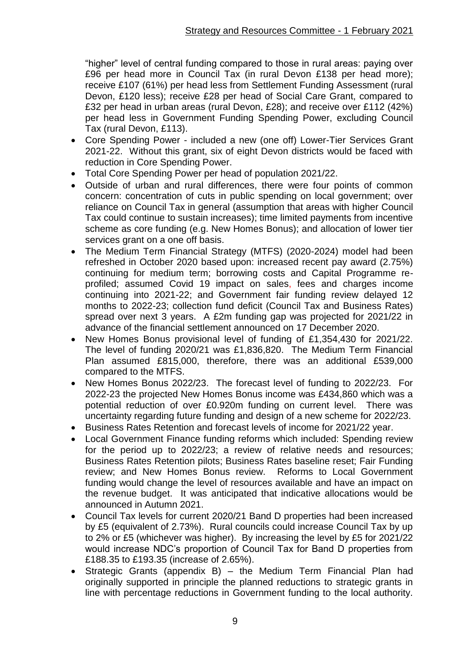"higher" level of central funding compared to those in rural areas: paying over £96 per head more in Council Tax (in rural Devon £138 per head more); receive £107 (61%) per head less from Settlement Funding Assessment (rural Devon, £120 less); receive £28 per head of Social Care Grant, compared to £32 per head in urban areas (rural Devon, £28); and receive over £112 (42%) per head less in Government Funding Spending Power, excluding Council Tax (rural Devon, £113).

- Core Spending Power included a new (one off) Lower-Tier Services Grant 2021-22. Without this grant, six of eight Devon districts would be faced with reduction in Core Spending Power.
- Total Core Spending Power per head of population 2021/22.
- Outside of urban and rural differences, there were four points of common concern: concentration of cuts in public spending on local government; over reliance on Council Tax in general (assumption that areas with higher Council Tax could continue to sustain increases); time limited payments from incentive scheme as core funding (e.g. New Homes Bonus); and allocation of lower tier services grant on a one off basis.
- The Medium Term Financial Strategy (MTFS) (2020-2024) model had been refreshed in October 2020 based upon: increased recent pay award (2.75%) continuing for medium term; borrowing costs and Capital Programme reprofiled; assumed Covid 19 impact on sales, fees and charges income continuing into 2021-22; and Government fair funding review delayed 12 months to 2022-23; collection fund deficit (Council Tax and Business Rates) spread over next 3 years. A £2m funding gap was projected for 2021/22 in advance of the financial settlement announced on 17 December 2020.
- New Homes Bonus provisional level of funding of £1,354,430 for 2021/22. The level of funding 2020/21 was £1,836,820. The Medium Term Financial Plan assumed £815,000, therefore, there was an additional £539,000 compared to the MTFS.
- New Homes Bonus 2022/23. The forecast level of funding to 2022/23. For 2022-23 the projected New Homes Bonus income was £434,860 which was a potential reduction of over £0.920m funding on current level. There was uncertainty regarding future funding and design of a new scheme for 2022/23.
- Business Rates Retention and forecast levels of income for 2021/22 year.
- Local Government Finance funding reforms which included: Spending review for the period up to 2022/23; a review of relative needs and resources; Business Rates Retention pilots; Business Rates baseline reset; Fair Funding review; and New Homes Bonus review. Reforms to Local Government funding would change the level of resources available and have an impact on the revenue budget. It was anticipated that indicative allocations would be announced in Autumn 2021.
- Council Tax levels for current 2020/21 Band D properties had been increased by £5 (equivalent of 2.73%). Rural councils could increase Council Tax by up to 2% or £5 (whichever was higher). By increasing the level by £5 for 2021/22 would increase NDC's proportion of Council Tax for Band D properties from £188.35 to £193.35 (increase of 2.65%).
- Strategic Grants (appendix B) the Medium Term Financial Plan had originally supported in principle the planned reductions to strategic grants in line with percentage reductions in Government funding to the local authority.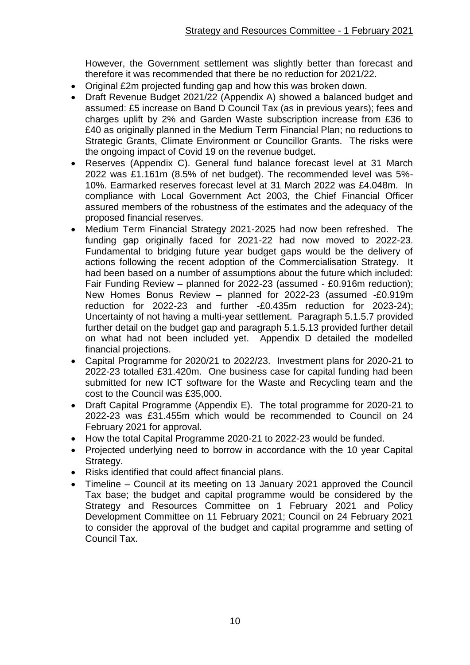However, the Government settlement was slightly better than forecast and therefore it was recommended that there be no reduction for 2021/22.

- Original £2m projected funding gap and how this was broken down.
- Draft Revenue Budget 2021/22 (Appendix A) showed a balanced budget and assumed: £5 increase on Band D Council Tax (as in previous years); fees and charges uplift by 2% and Garden Waste subscription increase from £36 to £40 as originally planned in the Medium Term Financial Plan; no reductions to Strategic Grants, Climate Environment or Councillor Grants. The risks were the ongoing impact of Covid 19 on the revenue budget.
- Reserves (Appendix C). General fund balance forecast level at 31 March 2022 was £1.161m (8.5% of net budget). The recommended level was 5%- 10%. Earmarked reserves forecast level at 31 March 2022 was £4.048m. In compliance with Local Government Act 2003, the Chief Financial Officer assured members of the robustness of the estimates and the adequacy of the proposed financial reserves.
- Medium Term Financial Strategy 2021-2025 had now been refreshed. The funding gap originally faced for 2021-22 had now moved to 2022-23. Fundamental to bridging future year budget gaps would be the delivery of actions following the recent adoption of the Commercialisation Strategy. It had been based on a number of assumptions about the future which included: Fair Funding Review – planned for 2022-23 (assumed - £0.916m reduction); New Homes Bonus Review – planned for 2022-23 (assumed -£0.919m reduction for 2022-23 and further -£0.435m reduction for 2023-24); Uncertainty of not having a multi-year settlement. Paragraph 5.1.5.7 provided further detail on the budget gap and paragraph 5.1.5.13 provided further detail on what had not been included yet. Appendix D detailed the modelled financial projections.
- Capital Programme for 2020/21 to 2022/23. Investment plans for 2020-21 to 2022-23 totalled £31.420m. One business case for capital funding had been submitted for new ICT software for the Waste and Recycling team and the cost to the Council was £35,000.
- Draft Capital Programme (Appendix E). The total programme for 2020-21 to 2022-23 was £31.455m which would be recommended to Council on 24 February 2021 for approval.
- How the total Capital Programme 2020-21 to 2022-23 would be funded.
- Projected underlying need to borrow in accordance with the 10 year Capital Strategy.
- Risks identified that could affect financial plans.
- Timeline Council at its meeting on 13 January 2021 approved the Council Tax base; the budget and capital programme would be considered by the Strategy and Resources Committee on 1 February 2021 and Policy Development Committee on 11 February 2021; Council on 24 February 2021 to consider the approval of the budget and capital programme and setting of Council Tax.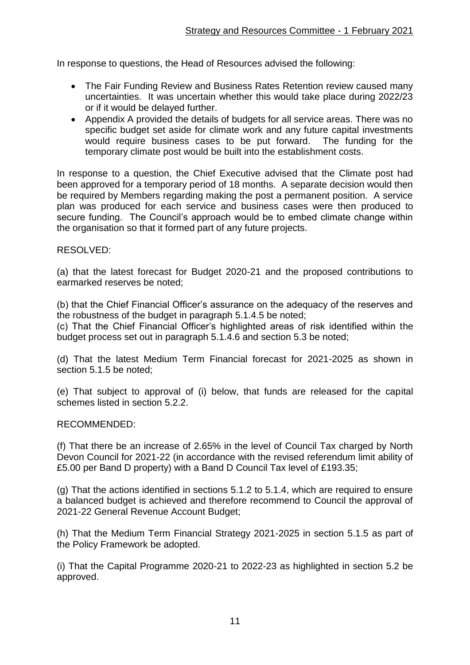In response to questions, the Head of Resources advised the following:

- The Fair Funding Review and Business Rates Retention review caused many uncertainties. It was uncertain whether this would take place during 2022/23 or if it would be delayed further.
- Appendix A provided the details of budgets for all service areas. There was no specific budget set aside for climate work and any future capital investments would require business cases to be put forward. The funding for the temporary climate post would be built into the establishment costs.

In response to a question, the Chief Executive advised that the Climate post had been approved for a temporary period of 18 months. A separate decision would then be required by Members regarding making the post a permanent position. A service plan was produced for each service and business cases were then produced to secure funding. The Council's approach would be to embed climate change within the organisation so that it formed part of any future projects.

#### RESOLVED:

(a) that the latest forecast for Budget 2020-21 and the proposed contributions to earmarked reserves be noted;

(b) that the Chief Financial Officer's assurance on the adequacy of the reserves and the robustness of the budget in paragraph 5.1.4.5 be noted;

(c) That the Chief Financial Officer's highlighted areas of risk identified within the budget process set out in paragraph 5.1.4.6 and section 5.3 be noted;

(d) That the latest Medium Term Financial forecast for 2021-2025 as shown in section 5.1.5 be noted;

(e) That subject to approval of (i) below, that funds are released for the capital schemes listed in section 5.2.2.

#### RECOMMENDED:

(f) That there be an increase of 2.65% in the level of Council Tax charged by North Devon Council for 2021-22 (in accordance with the revised referendum limit ability of £5.00 per Band D property) with a Band D Council Tax level of £193.35;

(g) That the actions identified in sections 5.1.2 to 5.1.4, which are required to ensure a balanced budget is achieved and therefore recommend to Council the approval of 2021-22 General Revenue Account Budget;

(h) That the Medium Term Financial Strategy 2021-2025 in section 5.1.5 as part of the Policy Framework be adopted.

(i) That the Capital Programme 2020-21 to 2022-23 as highlighted in section 5.2 be approved.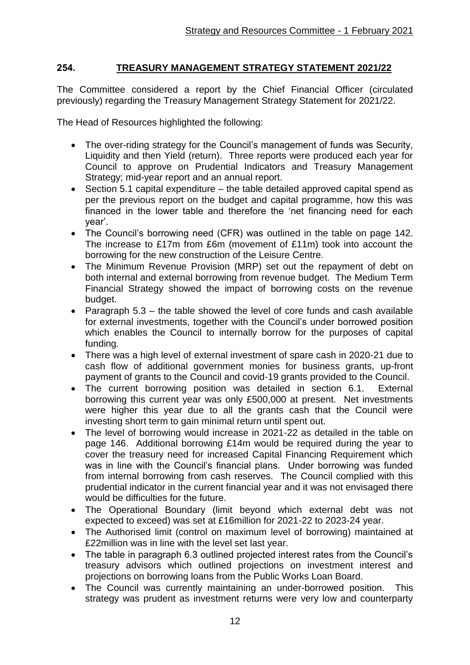## **254. TREASURY MANAGEMENT STRATEGY STATEMENT 2021/22**

The Committee considered a report by the Chief Financial Officer (circulated previously) regarding the Treasury Management Strategy Statement for 2021/22.

The Head of Resources highlighted the following:

- The over-riding strategy for the Council's management of funds was Security, Liquidity and then Yield (return). Three reports were produced each year for Council to approve on Prudential Indicators and Treasury Management Strategy; mid-year report and an annual report.
- Section 5.1 capital expenditure the table detailed approved capital spend as per the previous report on the budget and capital programme, how this was financed in the lower table and therefore the 'net financing need for each year'.
- The Council's borrowing need (CFR) was outlined in the table on page 142. The increase to £17m from £6m (movement of £11m) took into account the borrowing for the new construction of the Leisure Centre.
- The Minimum Revenue Provision (MRP) set out the repayment of debt on both internal and external borrowing from revenue budget. The Medium Term Financial Strategy showed the impact of borrowing costs on the revenue budget.
- Paragraph  $5.3$  the table showed the level of core funds and cash available for external investments, together with the Council's under borrowed position which enables the Council to internally borrow for the purposes of capital funding.
- There was a high level of external investment of spare cash in 2020-21 due to cash flow of additional government monies for business grants, up-front payment of grants to the Council and covid-19 grants provided to the Council.
- The current borrowing position was detailed in section 6.1. External borrowing this current year was only £500,000 at present. Net investments were higher this year due to all the grants cash that the Council were investing short term to gain minimal return until spent out.
- The level of borrowing would increase in 2021-22 as detailed in the table on page 146. Additional borrowing £14m would be required during the year to cover the treasury need for increased Capital Financing Requirement which was in line with the Council's financial plans. Under borrowing was funded from internal borrowing from cash reserves. The Council complied with this prudential indicator in the current financial year and it was not envisaged there would be difficulties for the future.
- The Operational Boundary (limit beyond which external debt was not expected to exceed) was set at £16million for 2021-22 to 2023-24 year.
- The Authorised limit (control on maximum level of borrowing) maintained at £22million was in line with the level set last year.
- The table in paragraph 6.3 outlined projected interest rates from the Council's treasury advisors which outlined projections on investment interest and projections on borrowing loans from the Public Works Loan Board.
- The Council was currently maintaining an under-borrowed position. This strategy was prudent as investment returns were very low and counterparty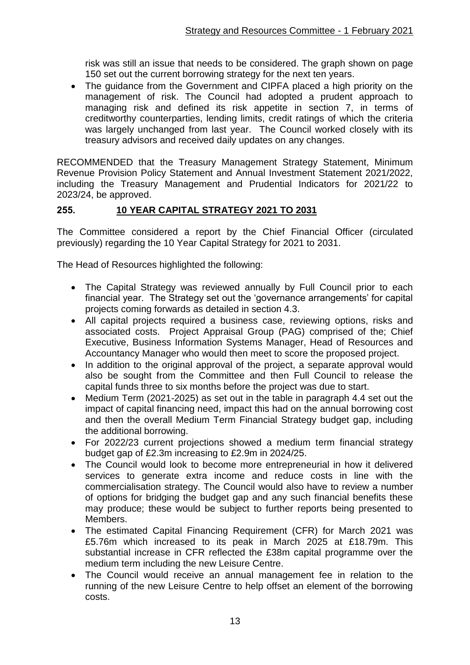risk was still an issue that needs to be considered. The graph shown on page 150 set out the current borrowing strategy for the next ten years.

• The guidance from the Government and CIPFA placed a high priority on the management of risk. The Council had adopted a prudent approach to managing risk and defined its risk appetite in section 7, in terms of creditworthy counterparties, lending limits, credit ratings of which the criteria was largely unchanged from last year. The Council worked closely with its treasury advisors and received daily updates on any changes.

RECOMMENDED that the Treasury Management Strategy Statement, Minimum Revenue Provision Policy Statement and Annual Investment Statement 2021/2022, including the Treasury Management and Prudential Indicators for 2021/22 to 2023/24, be approved.

## **255. 10 YEAR CAPITAL STRATEGY 2021 TO 2031**

The Committee considered a report by the Chief Financial Officer (circulated previously) regarding the 10 Year Capital Strategy for 2021 to 2031.

The Head of Resources highlighted the following:

- The Capital Strategy was reviewed annually by Full Council prior to each financial year. The Strategy set out the 'governance arrangements' for capital projects coming forwards as detailed in section 4.3.
- All capital projects required a business case, reviewing options, risks and associated costs. Project Appraisal Group (PAG) comprised of the; Chief Executive, Business Information Systems Manager, Head of Resources and Accountancy Manager who would then meet to score the proposed project.
- In addition to the original approval of the project, a separate approval would also be sought from the Committee and then Full Council to release the capital funds three to six months before the project was due to start.
- Medium Term (2021-2025) as set out in the table in paragraph 4.4 set out the impact of capital financing need, impact this had on the annual borrowing cost and then the overall Medium Term Financial Strategy budget gap, including the additional borrowing.
- For 2022/23 current projections showed a medium term financial strategy budget gap of £2.3m increasing to £2.9m in 2024/25.
- The Council would look to become more entrepreneurial in how it delivered services to generate extra income and reduce costs in line with the commercialisation strategy. The Council would also have to review a number of options for bridging the budget gap and any such financial benefits these may produce; these would be subject to further reports being presented to Members.
- The estimated Capital Financing Requirement (CFR) for March 2021 was £5.76m which increased to its peak in March 2025 at £18.79m. This substantial increase in CFR reflected the £38m capital programme over the medium term including the new Leisure Centre.
- The Council would receive an annual management fee in relation to the running of the new Leisure Centre to help offset an element of the borrowing costs.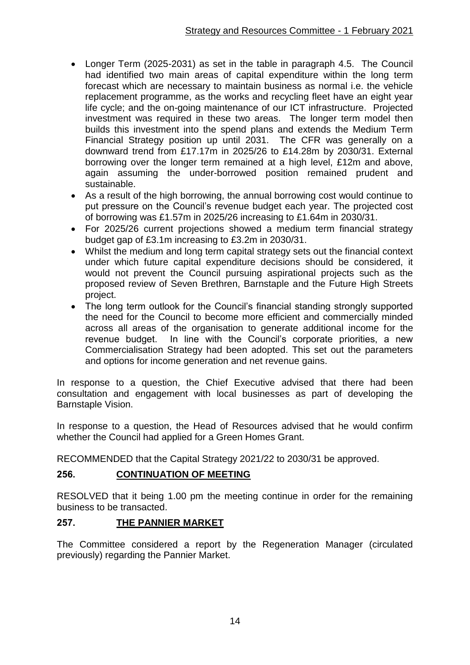- Longer Term (2025-2031) as set in the table in paragraph 4.5. The Council had identified two main areas of capital expenditure within the long term forecast which are necessary to maintain business as normal i.e. the vehicle replacement programme, as the works and recycling fleet have an eight year life cycle; and the on-going maintenance of our ICT infrastructure. Projected investment was required in these two areas. The longer term model then builds this investment into the spend plans and extends the Medium Term Financial Strategy position up until 2031. The CFR was generally on a downward trend from £17.17m in 2025/26 to £14.28m by 2030/31. External borrowing over the longer term remained at a high level, £12m and above, again assuming the under-borrowed position remained prudent and sustainable.
- As a result of the high borrowing, the annual borrowing cost would continue to put pressure on the Council's revenue budget each year. The projected cost of borrowing was £1.57m in 2025/26 increasing to £1.64m in 2030/31.
- For 2025/26 current projections showed a medium term financial strategy budget gap of £3.1m increasing to £3.2m in 2030/31.
- Whilst the medium and long term capital strategy sets out the financial context under which future capital expenditure decisions should be considered, it would not prevent the Council pursuing aspirational projects such as the proposed review of Seven Brethren, Barnstaple and the Future High Streets project.
- The long term outlook for the Council's financial standing strongly supported the need for the Council to become more efficient and commercially minded across all areas of the organisation to generate additional income for the revenue budget. In line with the Council's corporate priorities, a new Commercialisation Strategy had been adopted. This set out the parameters and options for income generation and net revenue gains.

In response to a question, the Chief Executive advised that there had been consultation and engagement with local businesses as part of developing the Barnstaple Vision.

In response to a question, the Head of Resources advised that he would confirm whether the Council had applied for a Green Homes Grant.

RECOMMENDED that the Capital Strategy 2021/22 to 2030/31 be approved.

## **256. CONTINUATION OF MEETING**

RESOLVED that it being 1.00 pm the meeting continue in order for the remaining business to be transacted.

## **257. THE PANNIER MARKET**

The Committee considered a report by the Regeneration Manager (circulated previously) regarding the Pannier Market.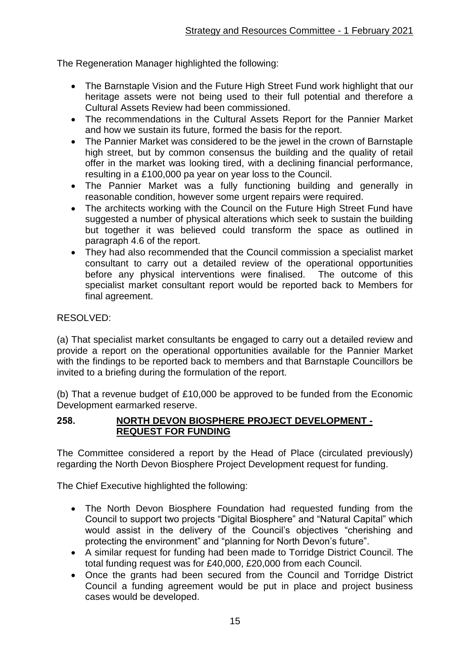The Regeneration Manager highlighted the following:

- The Barnstaple Vision and the Future High Street Fund work highlight that our heritage assets were not being used to their full potential and therefore a Cultural Assets Review had been commissioned.
- The recommendations in the Cultural Assets Report for the Pannier Market and how we sustain its future, formed the basis for the report.
- The Pannier Market was considered to be the jewel in the crown of Barnstaple high street, but by common consensus the building and the quality of retail offer in the market was looking tired, with a declining financial performance, resulting in a £100,000 pa year on year loss to the Council.
- The Pannier Market was a fully functioning building and generally in reasonable condition, however some urgent repairs were required.
- The architects working with the Council on the Future High Street Fund have suggested a number of physical alterations which seek to sustain the building but together it was believed could transform the space as outlined in paragraph 4.6 of the report.
- They had also recommended that the Council commission a specialist market consultant to carry out a detailed review of the operational opportunities before any physical interventions were finalised. The outcome of this specialist market consultant report would be reported back to Members for final agreement.

## RESOLVED:

(a) That specialist market consultants be engaged to carry out a detailed review and provide a report on the operational opportunities available for the Pannier Market with the findings to be reported back to members and that Barnstaple Councillors be invited to a briefing during the formulation of the report.

(b) That a revenue budget of £10,000 be approved to be funded from the Economic Development earmarked reserve.

### **258. NORTH DEVON BIOSPHERE PROJECT DEVELOPMENT - REQUEST FOR FUNDING**

The Committee considered a report by the Head of Place (circulated previously) regarding the North Devon Biosphere Project Development request for funding.

The Chief Executive highlighted the following:

- The North Devon Biosphere Foundation had requested funding from the Council to support two projects "Digital Biosphere" and "Natural Capital" which would assist in the delivery of the Council's objectives "cherishing and protecting the environment" and "planning for North Devon's future".
- A similar request for funding had been made to Torridge District Council. The total funding request was for £40,000, £20,000 from each Council.
- Once the grants had been secured from the Council and Torridge District Council a funding agreement would be put in place and project business cases would be developed.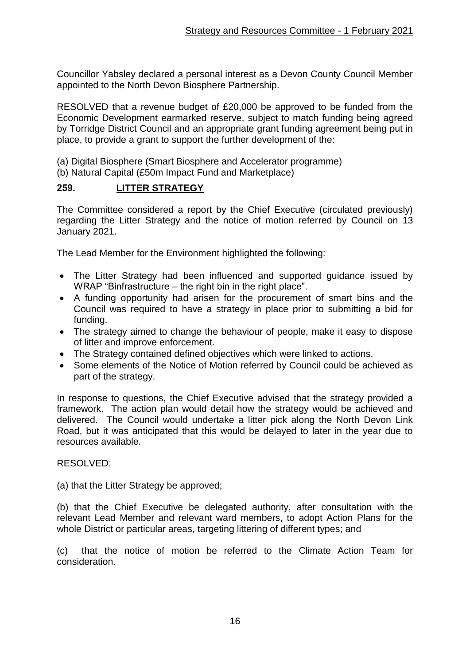Councillor Yabsley declared a personal interest as a Devon County Council Member appointed to the North Devon Biosphere Partnership.

RESOLVED that a revenue budget of £20,000 be approved to be funded from the Economic Development earmarked reserve, subject to match funding being agreed by Torridge District Council and an appropriate grant funding agreement being put in place, to provide a grant to support the further development of the:

(a) Digital Biosphere (Smart Biosphere and Accelerator programme)

(b) Natural Capital (£50m Impact Fund and Marketplace)

### **259. LITTER STRATEGY**

The Committee considered a report by the Chief Executive (circulated previously) regarding the Litter Strategy and the notice of motion referred by Council on 13 January 2021.

The Lead Member for the Environment highlighted the following:

- The Litter Strategy had been influenced and supported guidance issued by WRAP "Binfrastructure – the right bin in the right place".
- A funding opportunity had arisen for the procurement of smart bins and the Council was required to have a strategy in place prior to submitting a bid for funding.
- The strategy aimed to change the behaviour of people, make it easy to dispose of litter and improve enforcement.
- The Strategy contained defined objectives which were linked to actions.
- Some elements of the Notice of Motion referred by Council could be achieved as part of the strategy.

In response to questions, the Chief Executive advised that the strategy provided a framework. The action plan would detail how the strategy would be achieved and delivered. The Council would undertake a litter pick along the North Devon Link Road, but it was anticipated that this would be delayed to later in the year due to resources available.

RESOLVED:

(a) that the Litter Strategy be approved;

(b) that the Chief Executive be delegated authority, after consultation with the relevant Lead Member and relevant ward members, to adopt Action Plans for the whole District or particular areas, targeting littering of different types; and

(c) that the notice of motion be referred to the Climate Action Team for consideration.